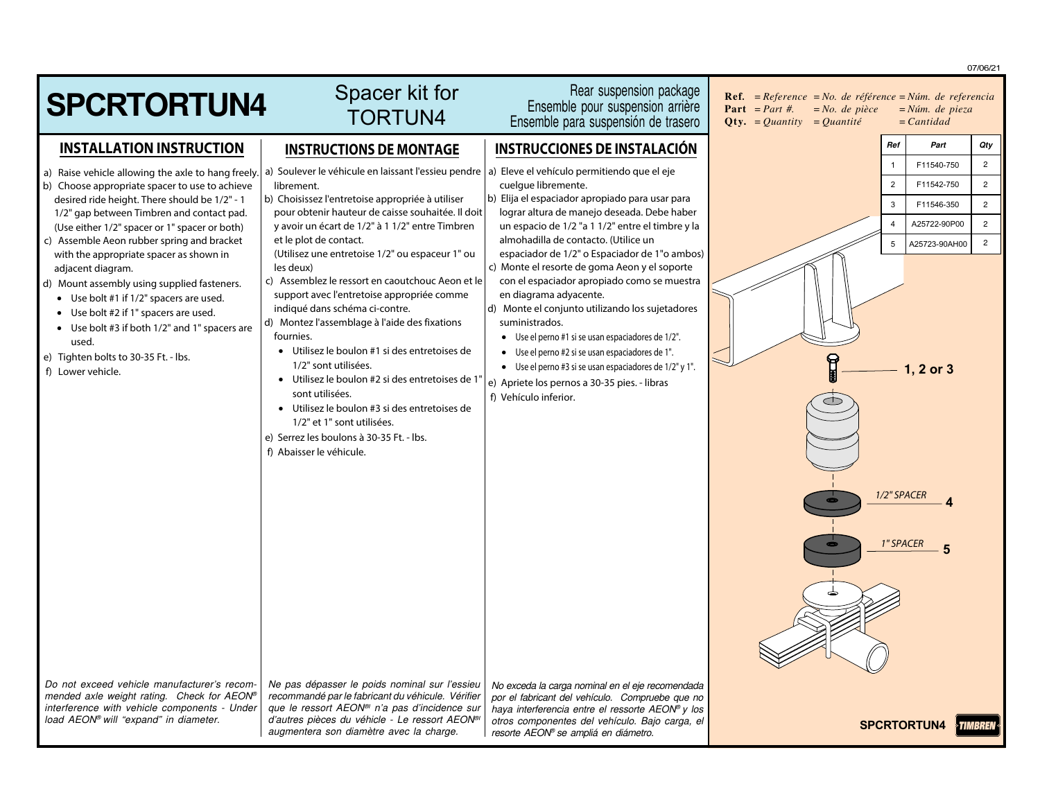|                                                                                            |                                                                                                               |                                                                                                     | 07/06/21                                                                                                                                                                                             |  |
|--------------------------------------------------------------------------------------------|---------------------------------------------------------------------------------------------------------------|-----------------------------------------------------------------------------------------------------|------------------------------------------------------------------------------------------------------------------------------------------------------------------------------------------------------|--|
| <b>SPCRTORTUN4</b>                                                                         | Spacer kit for<br><b>TORTUN4</b>                                                                              | Rear suspension package<br>Ensemble pour suspension arrière<br>Ensemble para suspensión de trasero  | <b>Ref.</b> = $Reference$ = $No.$ de référence = $Núm.$ de referencia<br><b>Part</b> = <i>Part #</i> .<br>$= No.$ de pièce<br>$=N$ úm. de pieza<br>$= Cantidad$<br><b>Qty.</b> = Quantity = Quantité |  |
| <b>INSTALLATION INSTRUCTION</b>                                                            | <b>INSTRUCTIONS DE MONTAGE</b>                                                                                | <b>INSTRUCCIONES DE INSTALACIÓN</b>                                                                 | Ref<br>Part<br>Qty                                                                                                                                                                                   |  |
| a) Raise vehicle allowing the axle to hang freely.                                         | a) Soulever le véhicule en laissant l'essieu pendre   a) Eleve el vehículo permitiendo que el eje             |                                                                                                     | $\overline{2}$<br>F11540-750<br>$\overline{1}$                                                                                                                                                       |  |
| b) Choose appropriate spacer to use to achieve                                             | librement.                                                                                                    | cuelque libremente.                                                                                 | $\overline{2}$<br>$\overline{2}$<br>F11542-750                                                                                                                                                       |  |
| desired ride height. There should be 1/2" - 1<br>1/2" gap between Timbren and contact pad. | b) Choisissez l'entretoise appropriée à utiliser<br>pour obtenir hauteur de caisse souhaitée. Il doit         | b) Elija el espaciador apropiado para usar para<br>lograr altura de manejo deseada. Debe haber      | $\overline{2}$<br>3<br>F11546-350                                                                                                                                                                    |  |
| (Use either 1/2" spacer or 1" spacer or both)                                              | y avoir un écart de 1/2" à 1 1/2" entre Timbren                                                               | un espacio de 1/2 "a 1 1/2" entre el timbre y la                                                    | A25722-90P00<br>$\overline{2}$<br>$\overline{4}$                                                                                                                                                     |  |
| c) Assemble Aeon rubber spring and bracket<br>with the appropriate spacer as shown in      | et le plot de contact.<br>(Utilisez une entretoise 1/2" ou espaceur 1" ou                                     | almohadilla de contacto. (Utilice un<br>espaciador de 1/2" o Espaciador de 1"o ambos)               | $\overline{2}$<br>A25723-90AH00<br>5                                                                                                                                                                 |  |
| adjacent diagram.                                                                          | les deux)                                                                                                     | c) Monte el resorte de goma Aeon y el soporte                                                       |                                                                                                                                                                                                      |  |
| d) Mount assembly using supplied fasteners.                                                | c) Assemblez le ressort en caoutchouc Aeon et le<br>support avec l'entretoise appropriée comme                | con el espaciador apropiado como se muestra<br>en diagrama adyacente.                               |                                                                                                                                                                                                      |  |
| • Use bolt #1 if 1/2" spacers are used.<br>• Use bolt #2 if 1" spacers are used.           | indiqué dans schéma ci-contre.                                                                                | d) Monte el conjunto utilizando los sujetadores                                                     |                                                                                                                                                                                                      |  |
| • Use bolt #3 if both 1/2" and 1" spacers are                                              | d) Montez l'assemblage à l'aide des fixations<br>fournies.                                                    | suministrados.<br>• Use el perno #1 si se usan espaciadores de 1/2".                                |                                                                                                                                                                                                      |  |
| used.<br>e) Tighten bolts to 30-35 Ft. - Ibs.                                              | • Utilisez le boulon #1 si des entretoises de                                                                 | • Use el perno #2 si se usan espaciadores de 1".                                                    |                                                                                                                                                                                                      |  |
| f) Lower vehicle.                                                                          | 1/2" sont utilisées.                                                                                          | • Use el perno #3 si se usan espaciadores de 1/2" y 1".                                             | T<br>1, 2 or 3                                                                                                                                                                                       |  |
|                                                                                            | • Utilisez le boulon #2 si des entretoises de 1"<br>sont utilisées.                                           | e) Apriete los pernos a 30-35 pies. - libras                                                        |                                                                                                                                                                                                      |  |
|                                                                                            | • Utilisez le boulon #3 si des entretoises de                                                                 | f) Vehículo inferior.                                                                               |                                                                                                                                                                                                      |  |
|                                                                                            | 1/2" et 1" sont utilisées.                                                                                    |                                                                                                     |                                                                                                                                                                                                      |  |
|                                                                                            | e) Serrez les boulons à 30-35 Ft. - Ibs.<br>f) Abaisser le véhicule.                                          |                                                                                                     |                                                                                                                                                                                                      |  |
|                                                                                            |                                                                                                               |                                                                                                     |                                                                                                                                                                                                      |  |
|                                                                                            |                                                                                                               |                                                                                                     | 1/2" SPACER                                                                                                                                                                                          |  |
|                                                                                            |                                                                                                               |                                                                                                     |                                                                                                                                                                                                      |  |
|                                                                                            |                                                                                                               |                                                                                                     | <b>1" SPACER</b>                                                                                                                                                                                     |  |
|                                                                                            |                                                                                                               |                                                                                                     |                                                                                                                                                                                                      |  |
|                                                                                            |                                                                                                               |                                                                                                     |                                                                                                                                                                                                      |  |
|                                                                                            |                                                                                                               |                                                                                                     |                                                                                                                                                                                                      |  |
|                                                                                            |                                                                                                               |                                                                                                     |                                                                                                                                                                                                      |  |
|                                                                                            |                                                                                                               |                                                                                                     |                                                                                                                                                                                                      |  |
|                                                                                            |                                                                                                               |                                                                                                     |                                                                                                                                                                                                      |  |
| Do not exceed vehicle manufacturer's recom-                                                | Ne pas dépasser le poids nominal sur l'essieu                                                                 | No exceda la carga nominal en el eje recomendada                                                    |                                                                                                                                                                                                      |  |
| mended axle weight rating. Check for AEON®<br>interference with vehicle components - Under | recommandé par le fabricant du véhicule. Vérifier<br>que le ressort AEON <sup>®</sup> n'a pas d'incidence sur | por el fabricant del vehículo. Compruebe que no<br>haya interferencia entre el ressorte AEON® y los |                                                                                                                                                                                                      |  |
| load AEON® will "expand" in diameter.                                                      | d'autres pièces du véhicle - Le ressort AEON <sup>®</sup><br>augmentera son diamètre avec la charge.          | otros componentes del vehículo. Bajo carga, el<br>resorte AEON <sup>®</sup> se ampliá en diámetro.  | <b>SPCRTORTUN4</b><br><b>&gt;TIMBREN</b>                                                                                                                                                             |  |